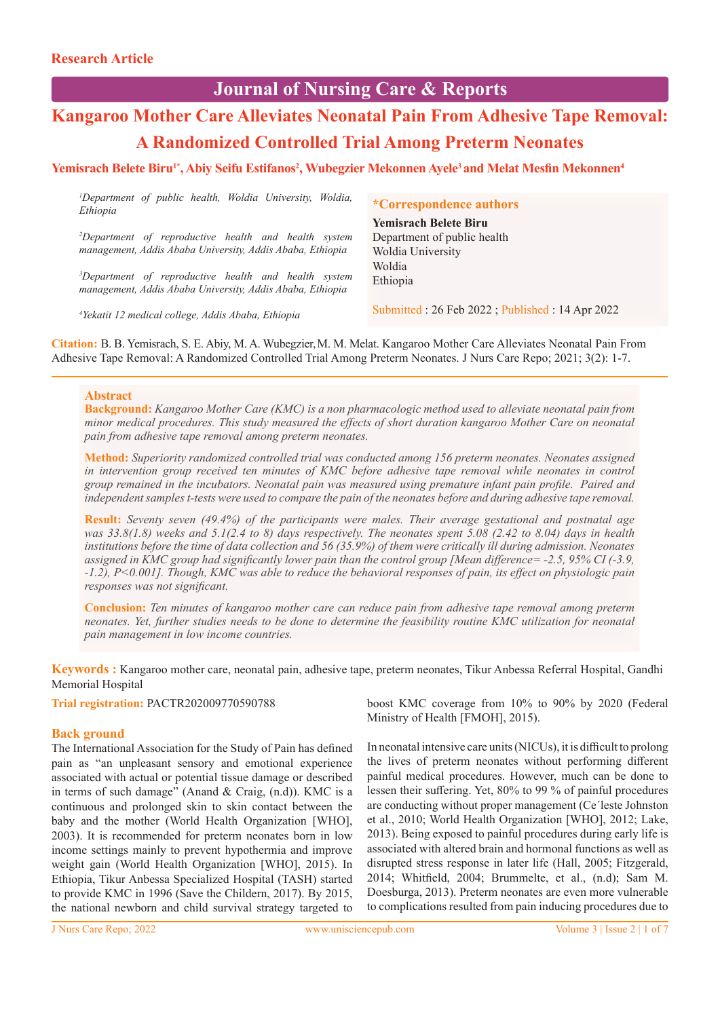## **Journal of Nursing Care & Reports**

# **Kangaroo Mother Care Alleviates Neonatal Pain From Adhesive Tape Removal: A Randomized Controlled Trial Among Preterm Neonates**

## **Yemisrach Belete Biru1\*, Abiy Seifu Estifanos2 , Wubegzier Mekonnen Ayele3 and Melat Mesfin Mekonnen<sup>4</sup>**

*1 Department of public health, Woldia University, Woldia, Ethiopia*

*2 Department of reproductive health and health system management, Addis Ababa University, Addis Ababa, Ethiopia*

*3 Department of reproductive health and health system management, Addis Ababa University, Addis Ababa, Ethiopia*

*4 Yekatit 12 medical college, Addis Ababa, Ethiopia*

**\*Correspondence authors**

#### **Yemisrach Belete Biru**

Department of public health Woldia University Woldia Ethiopia

Submitted : 26 Feb 2022 ; Published : 14 Apr 2022

**Citation:** B. B. Yemisrach, S. E. Abiy, M. A. Wubegzier,M. M. Melat. Kangaroo Mother Care Alleviates Neonatal Pain From Adhesive Tape Removal: A Randomized Controlled Trial Among Preterm Neonates. J Nurs Care Repo; 2021; 3(2): 1-7.

### **Abstract**

**Background:** *Kangaroo Mother Care (KMC) is a non pharmacologic method used to alleviate neonatal pain from minor medical procedures. This study measured the effects of short duration kangaroo Mother Care on neonatal pain from adhesive tape removal among preterm neonates.* 

**Method:** *Superiority randomized controlled trial was conducted among 156 preterm neonates. Neonates assigned*  in intervention group received ten minutes of KMC before adhesive tape removal while neonates in control *group remained in the incubators. Neonatal pain was measured using premature infant pain profile. Paired and independent samples t-tests were used to compare the pain of the neonates before and during adhesive tape removal.* 

**Result:** *Seventy seven (49.4%) of the participants were males. Their average gestational and postnatal age was 33.8(1.8) weeks and 5.1(2.4 to 8) days respectively. The neonates spent 5.08 (2.42 to 8.04) days in health institutions before the time of data collection and 56 (35.9%) of them were critically ill during admission. Neonates assigned in KMC group had significantly lower pain than the control group [Mean difference= -2.5, 95% CI (-3.9, -1.2), P<0.001]. Though, KMC was able to reduce the behavioral responses of pain, its effect on physiologic pain responses was not significant.* 

**Conclusion:** *Ten minutes of kangaroo mother care can reduce pain from adhesive tape removal among preterm neonates. Yet, further studies needs to be done to determine the feasibility routine KMC utilization for neonatal pain management in low income countries.* 

## **Keywords :** Kangaroo mother care, neonatal pain, adhesive tape, preterm neonates, Tikur Anbessa Referral Hospital, Gandhi Memorial Hospital

**Trial registration:** PACTR202009770590788

### **Back ground**

The International Association for the Study of Pain has defined pain as "an unpleasant sensory and emotional experience associated with actual or potential tissue damage or described in terms of such damage" (Anand & Craig, (n.d)). KMC is a continuous and prolonged skin to skin contact between the baby and the mother (World Health Organization [WHO], 2003). It is recommended for preterm neonates born in low income settings mainly to prevent hypothermia and improve weight gain (World Health Organization [WHO], 2015). In Ethiopia, Tikur Anbessa Specialized Hospital (TASH) started to provide KMC in 1996 (Save the Childern, 2017). By 2015, the national newborn and child survival strategy targeted to boost KMC coverage from 10% to 90% by 2020 (Federal Ministry of Health [FMOH], 2015).

In neonatal intensive care units (NICUs), it is difficult to prolong the lives of preterm neonates without performing different painful medical procedures. However, much can be done to lessen their suffering. Yet, 80% to 99 % of painful procedures are conducting without proper management (Ce´leste Johnston et al., 2010; World Health Organization [WHO], 2012; Lake, 2013). Being exposed to painful procedures during early life is associated with altered brain and hormonal functions as well as disrupted stress response in later life (Hall, 2005; Fitzgerald, 2014; Whitfield, 2004; Brummelte, et al., (n.d); Sam M. Doesburga, 2013). Preterm neonates are even more vulnerable to complications resulted from pain inducing procedures due to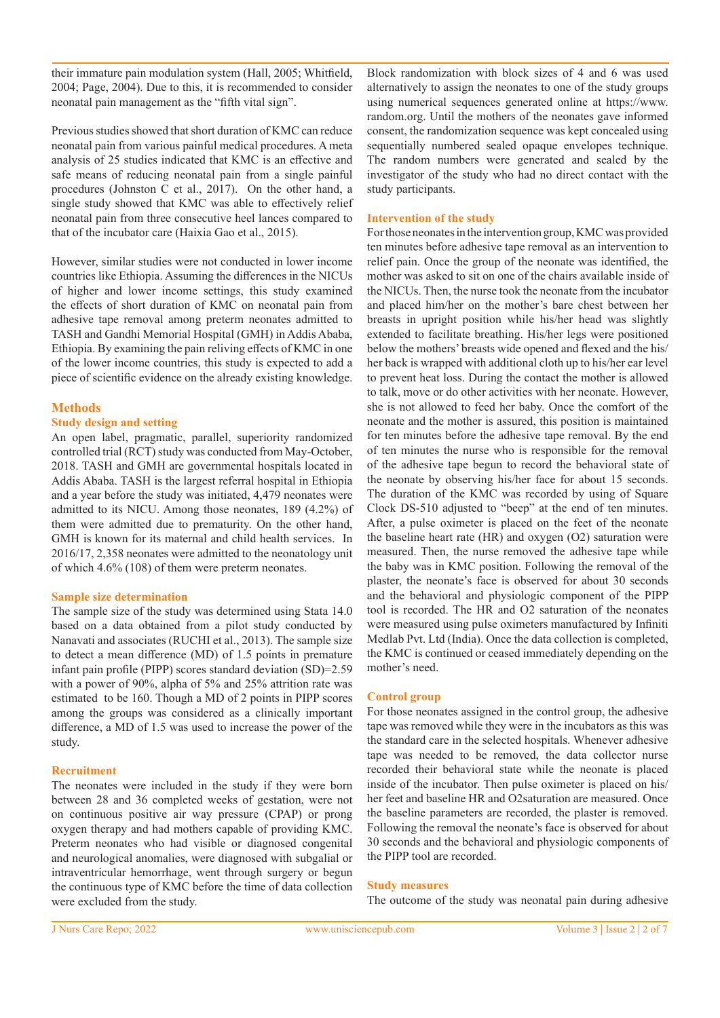their immature pain modulation system (Hall, 2005; Whitfield, 2004; Page, 2004). Due to this, it is recommended to consider neonatal pain management as the "fifth vital sign".

Previous studies showed that short duration of KMC can reduce neonatal pain from various painful medical procedures. A meta analysis of 25 studies indicated that KMC is an effective and safe means of reducing neonatal pain from a single painful procedures (Johnston C et al., 2017). On the other hand, a single study showed that KMC was able to effectively relief neonatal pain from three consecutive heel lances compared to that of the incubator care (Haixia Gao et al., 2015).

However, similar studies were not conducted in lower income countries like Ethiopia. Assuming the differences in the NICUs of higher and lower income settings, this study examined the effects of short duration of KMC on neonatal pain from adhesive tape removal among preterm neonates admitted to TASH and Gandhi Memorial Hospital (GMH) in Addis Ababa, Ethiopia. By examining the pain reliving effects of KMC in one of the lower income countries, this study is expected to add a piece of scientific evidence on the already existing knowledge.

#### **Methods**

#### **Study design and setting**

An open label, pragmatic, parallel, superiority randomized controlled trial (RCT) study was conducted from May-October, 2018. TASH and GMH are governmental hospitals located in Addis Ababa. TASH is the largest referral hospital in Ethiopia and a year before the study was initiated, 4,479 neonates were admitted to its NICU. Among those neonates, 189 (4.2%) of them were admitted due to prematurity. On the other hand, GMH is known for its maternal and child health services. In 2016/17, 2,358 neonates were admitted to the neonatology unit of which 4.6% (108) of them were preterm neonates.

#### **Sample size determination**

The sample size of the study was determined using Stata 14.0 based on a data obtained from a pilot study conducted by Nanavati and associates (RUCHI et al., 2013). The sample size to detect a mean difference (MD) of 1.5 points in premature infant pain profile (PIPP) scores standard deviation (SD)=2.59 with a power of 90%, alpha of 5% and 25% attrition rate was estimated to be 160. Though a MD of 2 points in PIPP scores among the groups was considered as a clinically important difference, a MD of 1.5 was used to increase the power of the study.

#### **Recruitment**

The neonates were included in the study if they were born between 28 and 36 completed weeks of gestation, were not on continuous positive air way pressure (CPAP) or prong oxygen therapy and had mothers capable of providing KMC. Preterm neonates who had visible or diagnosed congenital and neurological anomalies, were diagnosed with subgalial or intraventricular hemorrhage, went through surgery or begun the continuous type of KMC before the time of data collection were excluded from the study.

Block randomization with block sizes of 4 and 6 was used alternatively to assign the neonates to one of the study groups using numerical sequences generated online at https://www. random.org. Until the mothers of the neonates gave informed consent, the randomization sequence was kept concealed using sequentially numbered sealed opaque envelopes technique. The random numbers were generated and sealed by the investigator of the study who had no direct contact with the study participants.

#### **Intervention of the study**

For those neonates in the intervention group, KMC was provided ten minutes before adhesive tape removal as an intervention to relief pain. Once the group of the neonate was identified, the mother was asked to sit on one of the chairs available inside of the NICUs. Then, the nurse took the neonate from the incubator and placed him/her on the mother's bare chest between her breasts in upright position while his/her head was slightly extended to facilitate breathing. His/her legs were positioned below the mothers' breasts wide opened and flexed and the his/ her back is wrapped with additional cloth up to his/her ear level to prevent heat loss. During the contact the mother is allowed to talk, move or do other activities with her neonate. However, she is not allowed to feed her baby. Once the comfort of the neonate and the mother is assured, this position is maintained for ten minutes before the adhesive tape removal. By the end of ten minutes the nurse who is responsible for the removal of the adhesive tape begun to record the behavioral state of the neonate by observing his/her face for about 15 seconds. The duration of the KMC was recorded by using of Square Clock DS-510 adjusted to "beep" at the end of ten minutes. After, a pulse oximeter is placed on the feet of the neonate the baseline heart rate (HR) and oxygen (O2) saturation were measured. Then, the nurse removed the adhesive tape while the baby was in KMC position. Following the removal of the plaster, the neonate's face is observed for about 30 seconds and the behavioral and physiologic component of the PIPP tool is recorded. The HR and O2 saturation of the neonates were measured using pulse oximeters manufactured by Infiniti Medlab Pvt. Ltd (India). Once the data collection is completed, the KMC is continued or ceased immediately depending on the mother's need.

#### **Control group**

For those neonates assigned in the control group, the adhesive tape was removed while they were in the incubators as this was the standard care in the selected hospitals. Whenever adhesive tape was needed to be removed, the data collector nurse recorded their behavioral state while the neonate is placed inside of the incubator. Then pulse oximeter is placed on his/ her feet and baseline HR and O2saturation are measured. Once the baseline parameters are recorded, the plaster is removed. Following the removal the neonate's face is observed for about 30 seconds and the behavioral and physiologic components of the PIPP tool are recorded.

#### **Study measures**

The outcome of the study was neonatal pain during adhesive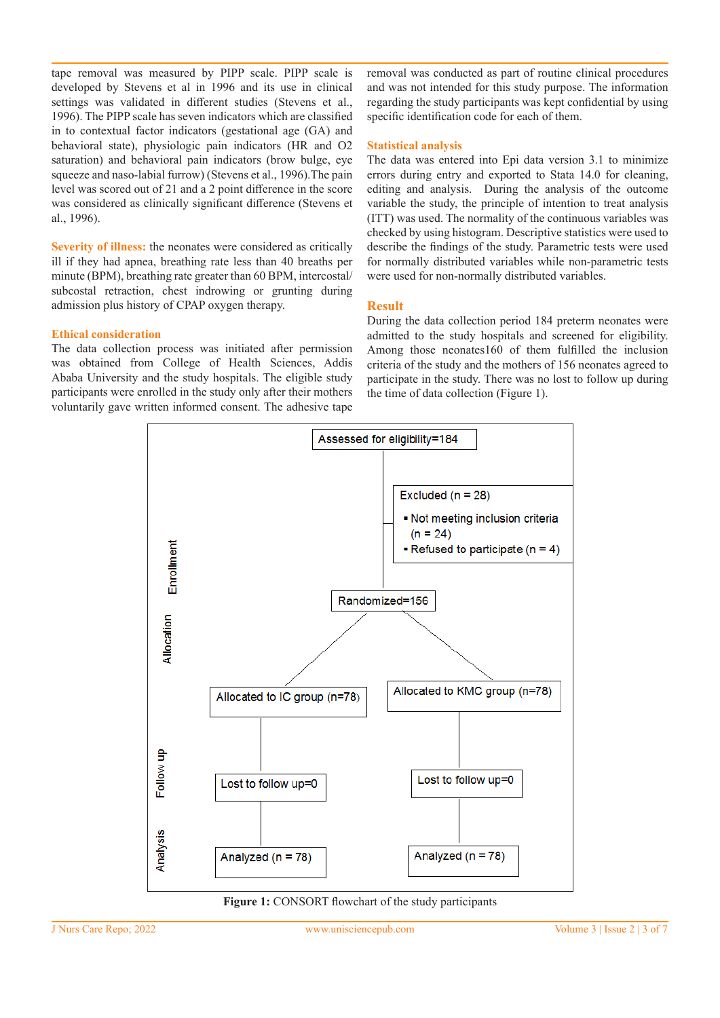tape removal was measured by PIPP scale. PIPP scale is developed by Stevens et al in 1996 and its use in clinical settings was validated in different studies (Stevens et al., 1996). The PIPP scale has seven indicators which are classified in to contextual factor indicators (gestational age (GA) and behavioral state), physiologic pain indicators (HR and O2 saturation) and behavioral pain indicators (brow bulge, eye squeeze and naso-labial furrow) (Stevens et al., 1996).The pain level was scored out of 21 and a 2 point difference in the score was considered as clinically significant difference (Stevens et al., 1996).

**Severity of illness:** the neonates were considered as critically ill if they had apnea, breathing rate less than 40 breaths per minute (BPM), breathing rate greater than 60 BPM, intercostal/ subcostal retraction, chest indrowing or grunting during admission plus history of CPAP oxygen therapy.

#### **Ethical consideration**

The data collection process was initiated after permission was obtained from College of Health Sciences, Addis Ababa University and the study hospitals. The eligible study participants were enrolled in the study only after their mothers voluntarily gave written informed consent. The adhesive tape

removal was conducted as part of routine clinical procedures and was not intended for this study purpose. The information regarding the study participants was kept confidential by using specific identification code for each of them.

#### **Statistical analysis**

The data was entered into Epi data version 3.1 to minimize errors during entry and exported to Stata 14.0 for cleaning, editing and analysis. During the analysis of the outcome variable the study, the principle of intention to treat analysis (ITT) was used. The normality of the continuous variables was checked by using histogram. Descriptive statistics were used to describe the findings of the study. Parametric tests were used for normally distributed variables while non-parametric tests were used for non-normally distributed variables.

#### **Result**

During the data collection period 184 preterm neonates were admitted to the study hospitals and screened for eligibility. Among those neonates160 of them fulfilled the inclusion criteria of the study and the mothers of 156 neonates agreed to participate in the study. There was no lost to follow up during the time of data collection (Figure 1).



**Figure 1:** CONSORT flowchart of the study participants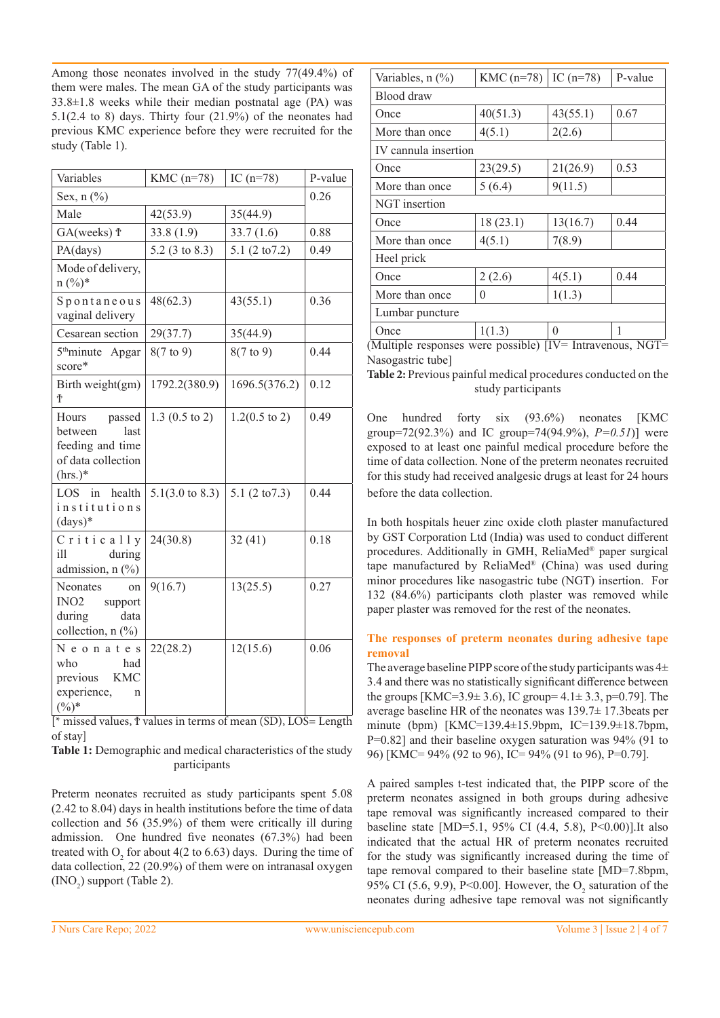Among those neonates involved in the study 77(49.4%) of them were males. The mean GA of the study participants was  $33.8\pm1.8$  weeks while their median postnatal age (PA) was 5.1(2.4 to 8) days. Thirty four (21.9%) of the neonates had previous KMC experience before they were recruited for the study (Table 1).

| Variables                                                                                  | $KMC$ (n=78)               | IC $(n=78)$              | P-value |
|--------------------------------------------------------------------------------------------|----------------------------|--------------------------|---------|
| Sex, $n$ $(\%)$                                                                            | 0.26                       |                          |         |
| Male                                                                                       | 42(53.9)                   | 35(44.9)                 |         |
| GA(weeks) <sup>†</sup>                                                                     | 33.8(1.9)                  | 33.7(1.6)                | 0.88    |
| PA(days)                                                                                   | 5.2 (3 to 8.3)             | $5.1(2 \text{ to } 7.2)$ | 0.49    |
| Mode of delivery,<br>$n (%)^*$                                                             |                            |                          |         |
| Spontaneous<br>vaginal delivery                                                            | 48(62.3)                   | 43(55.1)                 | 0.36    |
| Cesarean section                                                                           | 29(37.7)                   | 35(44.9)                 |         |
| 5 <sup>th</sup> minute Apgar<br>score*                                                     | $8(7 \text{ to } 9)$       | $8(7 \text{ to } 9)$     | 0.44    |
| Birth weight(gm)<br>$\Phi$                                                                 | 1792.2(380.9)              | 1696.5(376.2)            | 0.12    |
| passed<br>Hours<br>between<br>last<br>feeding and time<br>of data collection<br>$(hrs.)^*$ | $1.3(0.5 \text{ to } 2)$   | $1.2(0.5 \text{ to } 2)$ | 0.49    |
| <b>LOS</b><br>health<br>in<br>institutions<br>$(days)*$                                    | $5.1(3.0 \text{ to } 8.3)$ | $5.1(2 \text{ to } 7.3)$ | 0.44    |
| $C$ ritically<br>ill<br>during<br>admission, $n$ $(\%)$                                    | 24(30.8)                   | 32(41)                   | 0.18    |
| Neonates<br>on<br>IN <sub>O</sub> 2<br>support<br>during<br>data<br>collection, $n$ $(\%)$ | 9(16.7)                    | 13(25.5)                 | 0.27    |
| Neonates<br>who<br>had<br>previous<br><b>KMC</b><br>experience,<br>n<br>$(\%)^*$           | 22(28.2)                   | 12(15.6)                 | 0.06    |

<sup>\*</sup> missed values, † values in terms of mean (SD), LOS= Length of stay]

**Table 1:** Demographic and medical characteristics of the study participants

Preterm neonates recruited as study participants spent 5.08 (2.42 to 8.04) days in health institutions before the time of data collection and 56 (35.9%) of them were critically ill during admission. One hundred five neonates (67.3%) had been treated with  $O_2$  for about 4(2 to 6.63) days. During the time of data collection, 22 (20.9%) of them were on intranasal oxygen  $(INO<sub>2</sub>)$  support (Table 2).

| Variables, $n$ $(\%)$ | $KMC$ (n=78) | IC $(n=78)$ | P-value |  |  |  |
|-----------------------|--------------|-------------|---------|--|--|--|
| Blood draw            |              |             |         |  |  |  |
| Once                  | 40(51.3)     | 43(55.1)    | 0.67    |  |  |  |
| More than once        | 4(5.1)       | 2(2.6)      |         |  |  |  |
| IV cannula insertion  |              |             |         |  |  |  |
| Once                  | 23(29.5)     | 21(26.9)    | 0.53    |  |  |  |
| More than once        | 5(6.4)       | 9(11.5)     |         |  |  |  |
| NGT insertion         |              |             |         |  |  |  |
| Once                  | 18(23.1)     | 13(16.7)    | 0.44    |  |  |  |
| More than once        | 4(5.1)       | 7(8.9)      |         |  |  |  |
| Heel prick            |              |             |         |  |  |  |
| Once                  | 2(2.6)       | 4(5.1)      | 0.44    |  |  |  |
| More than once        | 0            | 1(1.3)      |         |  |  |  |
| Lumbar puncture       |              |             |         |  |  |  |
| Once                  | 1(1.3)       | $\Omega$    | 1       |  |  |  |

(Multiple responses were possible) [IV= Intravenous, NGT= Nasogastric tube]

**Table 2:** Previous painful medical procedures conducted on the study participants

One hundred forty six (93.6%) neonates [KMC group=72(92.3%) and IC group=74(94.9%), *P=0.51*)] were exposed to at least one painful medical procedure before the time of data collection. None of the preterm neonates recruited for this study had received analgesic drugs at least for 24 hours before the data collection.

In both hospitals heuer zinc oxide cloth plaster manufactured by GST Corporation Ltd (India) was used to conduct different procedures. Additionally in GMH, ReliaMed® paper surgical tape manufactured by ReliaMed® (China) was used during minor procedures like nasogastric tube (NGT) insertion. For 132 (84.6%) participants cloth plaster was removed while paper plaster was removed for the rest of the neonates.

## **The responses of preterm neonates during adhesive tape removal**

The average baseline PIPP score of the study participants was  $4\pm$ 3.4 and there was no statistically significant difference between the groups [KMC=3.9 $\pm$  3.6), IC group= 4.1 $\pm$  3.3, p=0.79]. The average baseline HR of the neonates was 139.7± 17.3beats per minute (bpm) [KMC=139.4±15.9bpm, IC=139.9±18.7bpm, P=0.82] and their baseline oxygen saturation was 94% (91 to 96) [KMC= 94% (92 to 96), IC= 94% (91 to 96), P=0.79].

A paired samples t-test indicated that, the PIPP score of the preterm neonates assigned in both groups during adhesive tape removal was significantly increased compared to their baseline state [MD=5.1, 95% CI (4.4, 5.8), P<0.00)].It also indicated that the actual HR of preterm neonates recruited for the study was significantly increased during the time of tape removal compared to their baseline state [MD=7.8bpm, 95% CI (5.6, 9.9), P<0.00]. However, the  $O_2$  saturation of the neonates during adhesive tape removal was not significantly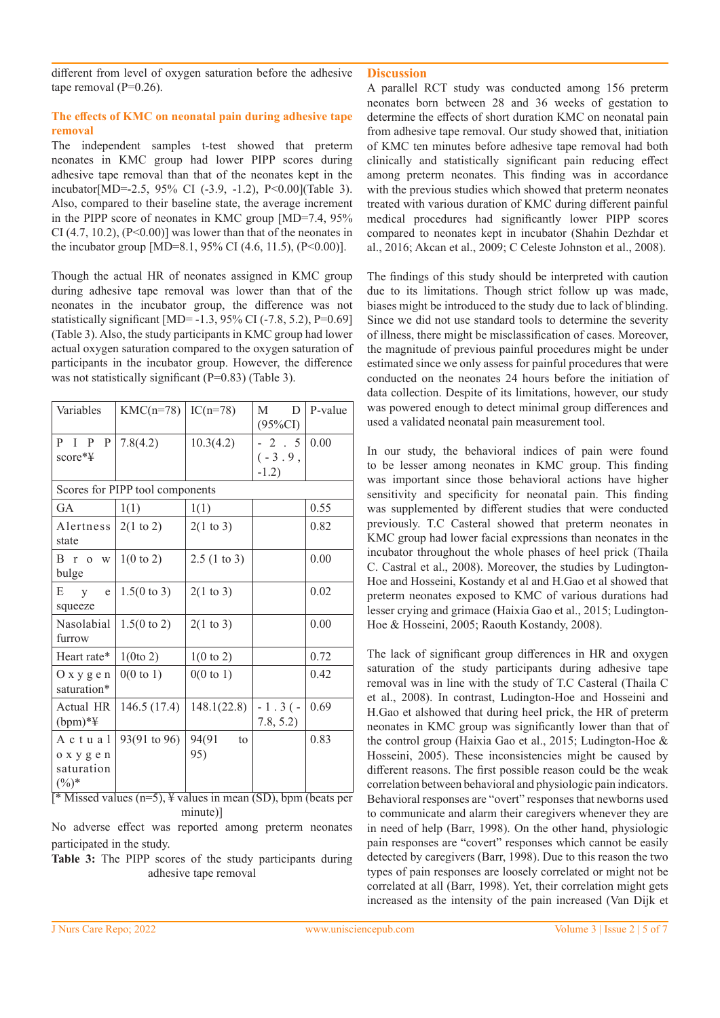different from level of oxygen saturation before the adhesive tape removal  $(P=0.26)$ .

## **The effects of KMC on neonatal pain during adhesive tape removal**

The independent samples t-test showed that preterm neonates in KMC group had lower PIPP scores during adhesive tape removal than that of the neonates kept in the incubator[MD=-2.5, 95% CI (-3.9, -1.2), P<0.00](Table 3). Also, compared to their baseline state, the average increment in the PIPP score of neonates in KMC group [MD=7.4, 95% CI (4.7, 10.2),  $(P<0.00)$ ] was lower than that of the neonates in the incubator group  $[MD=8.1, 95\% \text{ CI } (4.6, 11.5), (P<0.00)].$ 

Though the actual HR of neonates assigned in KMC group during adhesive tape removal was lower than that of the neonates in the incubator group, the difference was not statistically significant [MD= -1.3, 95% CI (-7.8, 5.2), P=0.69] (Table 3). Also, the study participants in KMC group had lower actual oxygen saturation compared to the oxygen saturation of participants in the incubator group. However, the difference was not statistically significant (P=0.83) (Table 3).

| Variables                                       | $KMC(n=78)$             | $IC(n=78)$           | D<br>M<br>$(95\%CI)$            | P-value |  |  |
|-------------------------------------------------|-------------------------|----------------------|---------------------------------|---------|--|--|
| P.<br>$I$ $P$<br>P<br>score $*$ ¥               | 7.8(4.2)                | 10.3(4.2)            | $-2$ . 5<br>$(-3.9,$<br>$-1.2)$ | 0.00    |  |  |
| Scores for PIPP tool components                 |                         |                      |                                 |         |  |  |
| <b>GA</b>                                       | 1(1)                    | 1(1)                 |                                 | 0.55    |  |  |
| Alertness<br>state                              | $2(1 \text{ to } 2)$    | $2(1 \text{ to } 3)$ |                                 | 0.82    |  |  |
| B r o w<br>bulge                                | $1(0 \text{ to } 2)$    | 2.5(1 to 3)          |                                 | 0.00    |  |  |
| Е<br>V.<br>e<br>squeeze                         | $1.5(0 \text{ to } 3)$  | $2(1 \text{ to } 3)$ |                                 | 0.02    |  |  |
| Nasolabial<br>furrow                            | $1.5(0 \text{ to } 2)$  | $2(1 \text{ to } 3)$ |                                 | 0.00    |  |  |
| Heart rate*                                     | 1(0 <sup>to</sup> 2)    | $1(0 \text{ to } 2)$ |                                 | 0.72    |  |  |
| Ox y g e n<br>saturation*                       | $0(0 \text{ to } 1)$    | $0(0 \text{ to } 1)$ |                                 | 0.42    |  |  |
| Actual HR<br>$(bpm)*\n{\ddagger}$               | 146.5(17.4)             | 148.1(22.8)          | $-1.3($<br>7.8, 5.2)            | 0.69    |  |  |
| Actual<br>o x y g e n<br>saturation<br>$(\%)^*$ | $93(91 \text{ to } 96)$ | 94(91<br>to<br>95)   |                                 | 0.83    |  |  |

 $\bar{f}$ \* Missed values (n=5), ¥ values in mean (SD), bpm (beats per minute)]

No adverse effect was reported among preterm neonates participated in the study.

**Table 3:** The PIPP scores of the study participants during adhesive tape removal

#### **Discussion**

A parallel RCT study was conducted among 156 preterm neonates born between 28 and 36 weeks of gestation to determine the effects of short duration KMC on neonatal pain from adhesive tape removal. Our study showed that, initiation of KMC ten minutes before adhesive tape removal had both clinically and statistically significant pain reducing effect among preterm neonates. This finding was in accordance with the previous studies which showed that preterm neonates treated with various duration of KMC during different painful medical procedures had significantly lower PIPP scores compared to neonates kept in incubator (Shahin Dezhdar et al., 2016; Akcan et al., 2009; C Celeste Johnston et al., 2008).

The findings of this study should be interpreted with caution due to its limitations. Though strict follow up was made, biases might be introduced to the study due to lack of blinding. Since we did not use standard tools to determine the severity of illness, there might be misclassification of cases. Moreover, the magnitude of previous painful procedures might be under estimated since we only assess for painful procedures that were conducted on the neonates 24 hours before the initiation of data collection. Despite of its limitations, however, our study was powered enough to detect minimal group differences and used a validated neonatal pain measurement tool.

In our study, the behavioral indices of pain were found to be lesser among neonates in KMC group. This finding was important since those behavioral actions have higher sensitivity and specificity for neonatal pain. This finding was supplemented by different studies that were conducted previously. T.C Casteral showed that preterm neonates in KMC group had lower facial expressions than neonates in the incubator throughout the whole phases of heel prick (Thaila C. Castral et al., 2008). Moreover, the studies by Ludington-Hoe and Hosseini, Kostandy et al and H.Gao et al showed that preterm neonates exposed to KMC of various durations had lesser crying and grimace (Haixia Gao et al., 2015; Ludington-Hoe & Hosseini, 2005; Raouth Kostandy, 2008).

The lack of significant group differences in HR and oxygen saturation of the study participants during adhesive tape removal was in line with the study of T.C Casteral (Thaila C et al., 2008). In contrast, Ludington-Hoe and Hosseini and H.Gao et alshowed that during heel prick, the HR of preterm neonates in KMC group was significantly lower than that of the control group (Haixia Gao et al., 2015; Ludington-Hoe & Hosseini, 2005). These inconsistencies might be caused by different reasons. The first possible reason could be the weak correlation between behavioral and physiologic pain indicators. Behavioral responses are "overt" responses that newborns used to communicate and alarm their caregivers whenever they are in need of help (Barr, 1998). On the other hand, physiologic pain responses are "covert" responses which cannot be easily detected by caregivers (Barr, 1998). Due to this reason the two types of pain responses are loosely correlated or might not be correlated at all (Barr, 1998). Yet, their correlation might gets increased as the intensity of the pain increased (Van Dijk et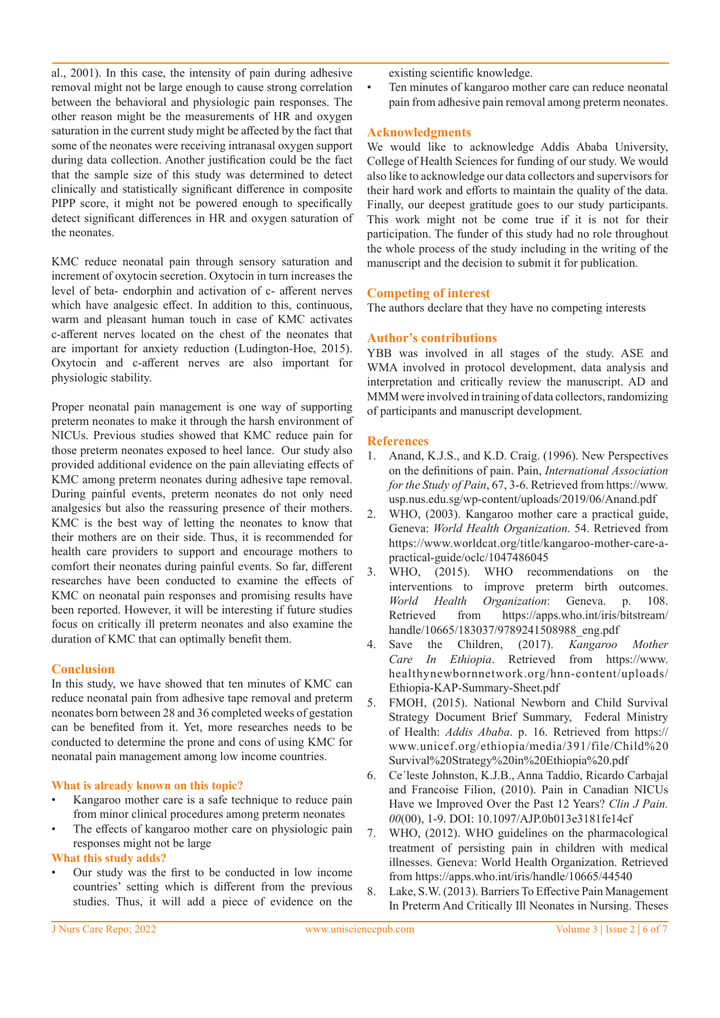al., 2001). In this case, the intensity of pain during adhesive removal might not be large enough to cause strong correlation between the behavioral and physiologic pain responses. The other reason might be the measurements of HR and oxygen saturation in the current study might be affected by the fact that some of the neonates were receiving intranasal oxygen support during data collection. Another justification could be the fact that the sample size of this study was determined to detect clinically and statistically significant difference in composite PIPP score, it might not be powered enough to specifically detect significant differences in HR and oxygen saturation of the neonates.

KMC reduce neonatal pain through sensory saturation and increment of oxytocin secretion. Oxytocin in turn increases the level of beta- endorphin and activation of c- afferent nerves which have analgesic effect. In addition to this, continuous, warm and pleasant human touch in case of KMC activates c-afferent nerves located on the chest of the neonates that are important for anxiety reduction (Ludington-Hoe, 2015). Oxytocin and c-afferent nerves are also important for physiologic stability.

Proper neonatal pain management is one way of supporting preterm neonates to make it through the harsh environment of NICUs. Previous studies showed that KMC reduce pain for those preterm neonates exposed to heel lance. Our study also provided additional evidence on the pain alleviating effects of KMC among preterm neonates during adhesive tape removal. During painful events, preterm neonates do not only need analgesics but also the reassuring presence of their mothers. KMC is the best way of letting the neonates to know that their mothers are on their side. Thus, it is recommended for health care providers to support and encourage mothers to comfort their neonates during painful events. So far, different researches have been conducted to examine the effects of KMC on neonatal pain responses and promising results have been reported. However, it will be interesting if future studies focus on critically ill preterm neonates and also examine the duration of KMC that can optimally benefit them.

## **Conclusion**

In this study, we have showed that ten minutes of KMC can reduce neonatal pain from adhesive tape removal and preterm neonates born between 28 and 36 completed weeks of gestation can be benefited from it. Yet, more researches needs to be conducted to determine the prone and cons of using KMC for neonatal pain management among low income countries.

## **What is already known on this topic?**

- Kangaroo mother care is a safe technique to reduce pain from minor clinical procedures among preterm neonates
- The effects of kangaroo mother care on physiologic pain responses might not be large

## **What this study adds?**

• Our study was the first to be conducted in low income countries' setting which is different from the previous studies. Thus, it will add a piece of evidence on the existing scientific knowledge.

Ten minutes of kangaroo mother care can reduce neonatal pain from adhesive pain removal among preterm neonates.

### **Acknowledgments**

We would like to acknowledge Addis Ababa University, College of Health Sciences for funding of our study. We would also like to acknowledge our data collectors and supervisors for their hard work and efforts to maintain the quality of the data. Finally, our deepest gratitude goes to our study participants. This work might not be come true if it is not for their participation. The funder of this study had no role throughout the whole process of the study including in the writing of the manuscript and the decision to submit it for publication.

## **Competing of interest**

The authors declare that they have no competing interests

#### **Author's contributions**

YBB was involved in all stages of the study. ASE and WMA involved in protocol development, data analysis and interpretation and critically review the manuscript. AD and MMM were involved in training of data collectors, randomizing of participants and manuscript development.

## **References**

- 1. Anand, K.J.S., and K.D. Craig. (1996). New Perspectives on the definitions of pain. Pain, *International Association for the Study of Pain*, 67, 3-6. Retrieved from https://www. usp.nus.edu.sg/wp-content/uploads/2019/06/Anand.pdf
- 2. WHO, (2003). Kangaroo mother care a practical guide, Geneva: *World Health Organization*. 54. Retrieved from https://www.worldcat.org/title/kangaroo-mother-care-apractical-guide/oclc/1047486045
- 3. WHO, (2015). WHO recommendations on the interventions to improve preterm birth outcomes. *World Health Organization*: Geneva. p. 108. Retrieved from https://apps.who.int/iris/bitstream/ handle/10665/183037/9789241508988\_eng.pdf
- 4. Save the Children, (2017). *Kangaroo Mother Care In Ethiopia*. Retrieved from https://www. healthynewbornnetwork.org/hnn-content/uploads/ Ethiopia-KAP-Summary-Sheet.pdf
- 5. FMOH, (2015). National Newborn and Child Survival Strategy Document Brief Summary, Federal Ministry of Health: *Addis Ababa*. p. 16. Retrieved from https:// www.unicef.org/ethiopia/media/391/file/Child%20 Survival%20Strategy%20in%20Ethiopia%20.pdf
- 6. Ce´leste Johnston, K.J.B., Anna Taddio, Ricardo Carbajal and Francoise Filion, (2010). Pain in Canadian NICUs Have we Improved Over the Past 12 Years? *Clin J Pain. 00*(00), 1-9. DOI: 10.1097/AJP.0b013e3181fe14cf
- 7. WHO, (2012). WHO guidelines on the pharmacological treatment of persisting pain in children with medical illnesses. Geneva: World Health Organization. Retrieved from https://apps.who.int/iris/handle/10665/44540
- 8. Lake, S.W. (2013). Barriers To Effective Pain Management In Preterm And Critically Ill Neonates in Nursing. Theses